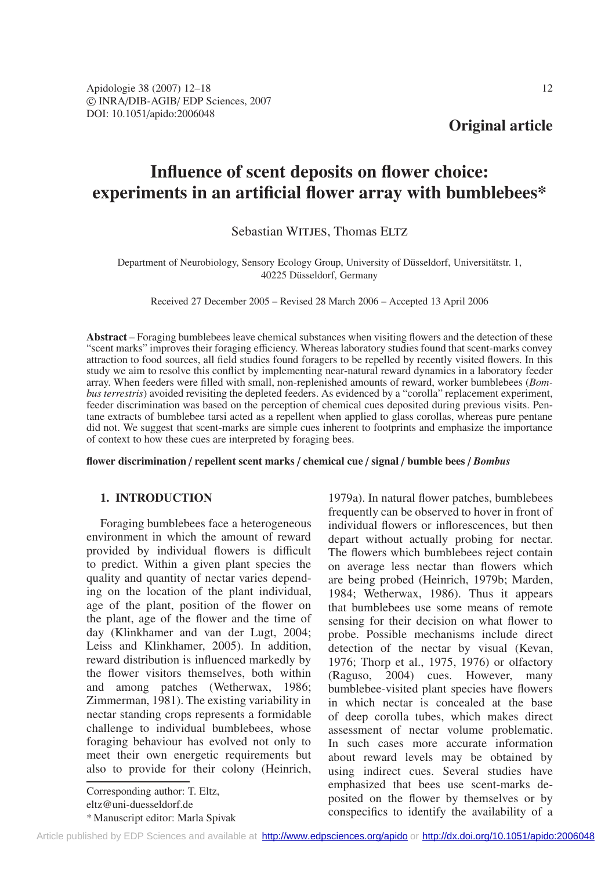# **Influence of scent deposits on flower choice: experiments in an artificial flower array with bumblebees\***

# Sebastian WITJES, Thomas ELTZ

## Department of Neurobiology, Sensory Ecology Group, University of Düsseldorf, Universitätstr. 1, 40225 Düsseldorf, Germany

Received 27 December 2005 – Revised 28 March 2006 – Accepted 13 April 2006

**Abstract** – Foraging bumblebees leave chemical substances when visiting flowers and the detection of these "scent marks" improves their foraging efficiency. Whereas laboratory studies found that scent-marks convey attraction to food sources, all field studies found foragers to be repelled by recently visited flowers. In this study we aim to resolve this conflict by implementing near-natural reward dynamics in a laboratory feeder array. When feeders were filled with small, non-replenished amounts of reward, worker bumblebees (*Bombus terrestris*) avoided revisiting the depleted feeders. As evidenced by a "corolla" replacement experiment, feeder discrimination was based on the perception of chemical cues deposited during previous visits. Pentane extracts of bumblebee tarsi acted as a repellent when applied to glass corollas, whereas pure pentane did not. We suggest that scent-marks are simple cues inherent to footprints and emphasize the importance of context to how these cues are interpreted by foraging bees.

**flower discrimination** / **repellent scent marks** / **chemical cue** / **signal** / **bumble bees** / *Bombus*

# **1. INTRODUCTION**

Foraging bumblebees face a heterogeneous environment in which the amount of reward provided by individual flowers is difficult to predict. Within a given plant species the quality and quantity of nectar varies depending on the location of the plant individual, age of the plant, position of the flower on the plant, age of the flower and the time of day (Klinkhamer and van der Lugt, 2004; Leiss and Klinkhamer, 2005). In addition, reward distribution is influenced markedly by the flower visitors themselves, both within and among patches (Wetherwax, 1986; Zimmerman, 1981). The existing variability in nectar standing crops represents a formidable challenge to individual bumblebees, whose foraging behaviour has evolved not only to meet their own energetic requirements but also to provide for their colony (Heinrich,

Corresponding author: T. Eltz, eltz@uni-duesseldorf.de \* Manuscript editor: Marla Spivak 1979a). In natural flower patches, bumblebees frequently can be observed to hover in front of individual flowers or inflorescences, but then depart without actually probing for nectar. The flowers which bumblebees reject contain on average less nectar than flowers which are being probed (Heinrich, 1979b; Marden, 1984; Wetherwax, 1986). Thus it appears that bumblebees use some means of remote sensing for their decision on what flower to probe. Possible mechanisms include direct detection of the nectar by visual (Kevan, 1976; Thorp et al., 1975, 1976) or olfactory (Raguso, 2004) cues. However, many bumblebee-visited plant species have flowers in which nectar is concealed at the base of deep corolla tubes, which makes direct assessment of nectar volume problematic. In such cases more accurate information about reward levels may be obtained by using indirect cues. Several studies have emphasized that bees use scent-marks deposited on the flower by themselves or by conspecifics to identify the availability of a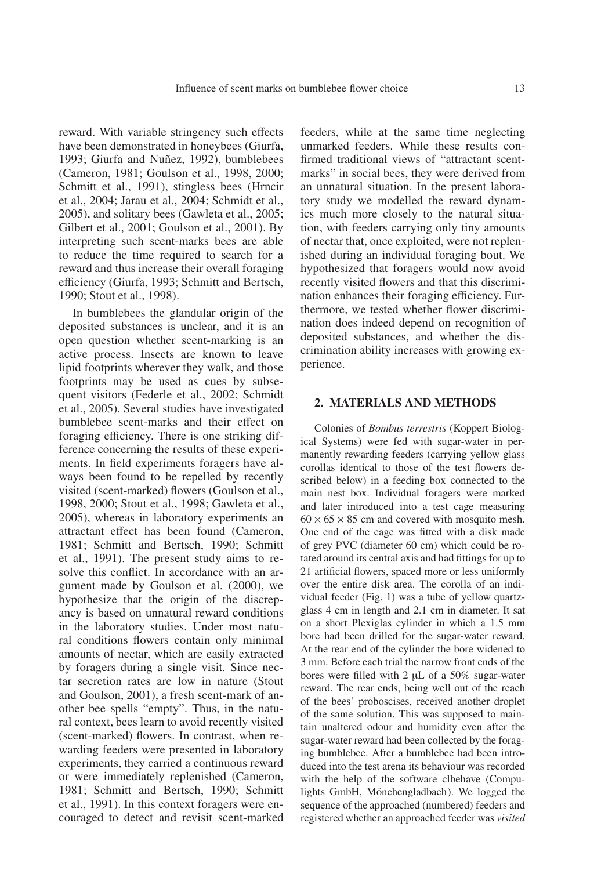reward. With variable stringency such effects have been demonstrated in honeybees (Giurfa, 1993; Giurfa and Nuñez, 1992), bumblebees (Cameron, 1981; Goulson et al., 1998, 2000; Schmitt et al., 1991), stingless bees (Hrncir et al., 2004; Jarau et al., 2004; Schmidt et al., 2005), and solitary bees (Gawleta et al., 2005; Gilbert et al., 2001; Goulson et al., 2001). By interpreting such scent-marks bees are able to reduce the time required to search for a reward and thus increase their overall foraging efficiency (Giurfa, 1993; Schmitt and Bertsch, 1990; Stout et al., 1998).

In bumblebees the glandular origin of the deposited substances is unclear, and it is an open question whether scent-marking is an active process. Insects are known to leave lipid footprints wherever they walk, and those footprints may be used as cues by subsequent visitors (Federle et al., 2002; Schmidt et al., 2005). Several studies have investigated bumblebee scent-marks and their effect on foraging efficiency. There is one striking difference concerning the results of these experiments. In field experiments foragers have always been found to be repelled by recently visited (scent-marked) flowers (Goulson et al., 1998, 2000; Stout et al., 1998; Gawleta et al., 2005), whereas in laboratory experiments an attractant effect has been found (Cameron, 1981; Schmitt and Bertsch, 1990; Schmitt et al., 1991). The present study aims to resolve this conflict. In accordance with an argument made by Goulson et al. (2000), we hypothesize that the origin of the discrepancy is based on unnatural reward conditions in the laboratory studies. Under most natural conditions flowers contain only minimal amounts of nectar, which are easily extracted by foragers during a single visit. Since nectar secretion rates are low in nature (Stout and Goulson, 2001), a fresh scent-mark of another bee spells "empty". Thus, in the natural context, bees learn to avoid recently visited (scent-marked) flowers. In contrast, when rewarding feeders were presented in laboratory experiments, they carried a continuous reward or were immediately replenished (Cameron, 1981; Schmitt and Bertsch, 1990; Schmitt et al., 1991). In this context foragers were encouraged to detect and revisit scent-marked feeders, while at the same time neglecting unmarked feeders. While these results confirmed traditional views of "attractant scentmarks" in social bees, they were derived from an unnatural situation. In the present laboratory study we modelled the reward dynamics much more closely to the natural situation, with feeders carrying only tiny amounts of nectar that, once exploited, were not replenished during an individual foraging bout. We hypothesized that foragers would now avoid recently visited flowers and that this discrimination enhances their foraging efficiency. Furthermore, we tested whether flower discrimination does indeed depend on recognition of deposited substances, and whether the discrimination ability increases with growing experience.

#### **2. MATERIALS AND METHODS**

Colonies of *Bombus terrestris* (Koppert Biological Systems) were fed with sugar-water in permanently rewarding feeders (carrying yellow glass corollas identical to those of the test flowers described below) in a feeding box connected to the main nest box. Individual foragers were marked and later introduced into a test cage measuring  $60 \times 65 \times 85$  cm and covered with mosquito mesh. One end of the cage was fitted with a disk made of grey PVC (diameter 60 cm) which could be rotated around its central axis and had fittings for up to 21 artificial flowers, spaced more or less uniformly over the entire disk area. The corolla of an individual feeder (Fig. 1) was a tube of yellow quartzglass 4 cm in length and 2.1 cm in diameter. It sat on a short Plexiglas cylinder in which a 1.5 mm bore had been drilled for the sugar-water reward. At the rear end of the cylinder the bore widened to 3 mm. Before each trial the narrow front ends of the bores were filled with 2  $\mu$ L of a 50% sugar-water reward. The rear ends, being well out of the reach of the bees' proboscises, received another droplet of the same solution. This was supposed to maintain unaltered odour and humidity even after the sugar-water reward had been collected by the foraging bumblebee. After a bumblebee had been introduced into the test arena its behaviour was recorded with the help of the software clbehave (Compulights GmbH, Mönchengladbach). We logged the sequence of the approached (numbered) feeders and registered whether an approached feeder was *visited*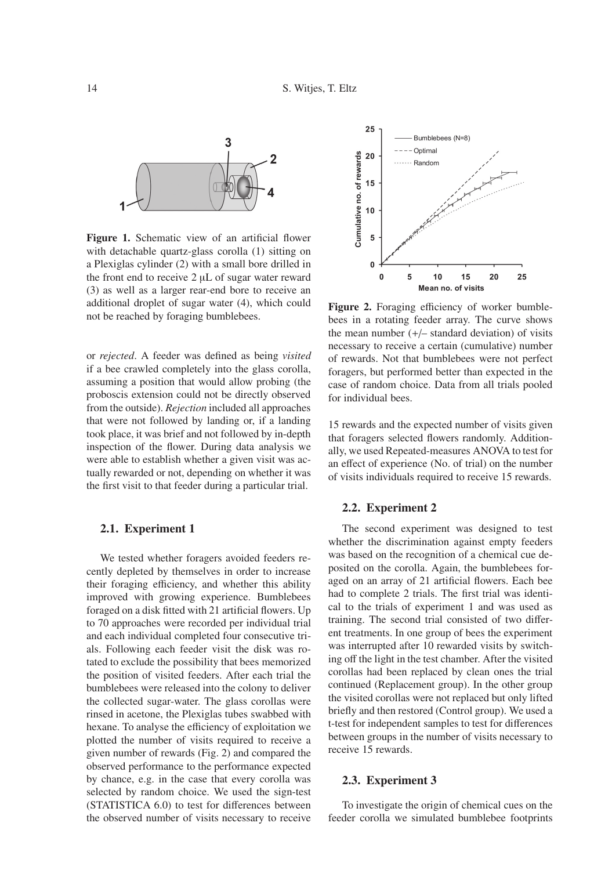

Figure 1. Schematic view of an artificial flower with detachable quartz-glass corolla (1) sitting on a Plexiglas cylinder (2) with a small bore drilled in the front end to receive 2 µL of sugar water reward (3) as well as a larger rear-end bore to receive an additional droplet of sugar water (4), which could not be reached by foraging bumblebees.

or *rejected*. A feeder was defined as being *visited* if a bee crawled completely into the glass corolla, assuming a position that would allow probing (the proboscis extension could not be directly observed from the outside). *Rejection* included all approaches that were not followed by landing or, if a landing took place, it was brief and not followed by in-depth inspection of the flower. During data analysis we were able to establish whether a given visit was actually rewarded or not, depending on whether it was the first visit to that feeder during a particular trial.

## **2.1. Experiment 1**

We tested whether foragers avoided feeders recently depleted by themselves in order to increase their foraging efficiency, and whether this ability improved with growing experience. Bumblebees foraged on a disk fitted with 21 artificial flowers. Up to 70 approaches were recorded per individual trial and each individual completed four consecutive trials. Following each feeder visit the disk was rotated to exclude the possibility that bees memorized the position of visited feeders. After each trial the bumblebees were released into the colony to deliver the collected sugar-water. The glass corollas were rinsed in acetone, the Plexiglas tubes swabbed with hexane. To analyse the efficiency of exploitation we plotted the number of visits required to receive a given number of rewards (Fig. 2) and compared the observed performance to the performance expected by chance, e.g. in the case that every corolla was selected by random choice. We used the sign-test (STATISTICA 6.0) to test for differences between the observed number of visits necessary to receive



**Figure 2.** Foraging efficiency of worker bumblebees in a rotating feeder array. The curve shows the mean number  $(+/-$  standard deviation) of visits necessary to receive a certain (cumulative) number of rewards. Not that bumblebees were not perfect foragers, but performed better than expected in the case of random choice. Data from all trials pooled for individual bees.

15 rewards and the expected number of visits given that foragers selected flowers randomly. Additionally, we used Repeated-measures ANOVA to test for an effect of experience (No. of trial) on the number of visits individuals required to receive 15 rewards.

#### **2.2. Experiment 2**

The second experiment was designed to test whether the discrimination against empty feeders was based on the recognition of a chemical cue deposited on the corolla. Again, the bumblebees foraged on an array of 21 artificial flowers. Each bee had to complete 2 trials. The first trial was identical to the trials of experiment 1 and was used as training. The second trial consisted of two different treatments. In one group of bees the experiment was interrupted after 10 rewarded visits by switching off the light in the test chamber. After the visited corollas had been replaced by clean ones the trial continued (Replacement group). In the other group the visited corollas were not replaced but only lifted briefly and then restored (Control group). We used a t-test for independent samples to test for differences between groups in the number of visits necessary to receive 15 rewards.

#### **2.3. Experiment 3**

To investigate the origin of chemical cues on the feeder corolla we simulated bumblebee footprints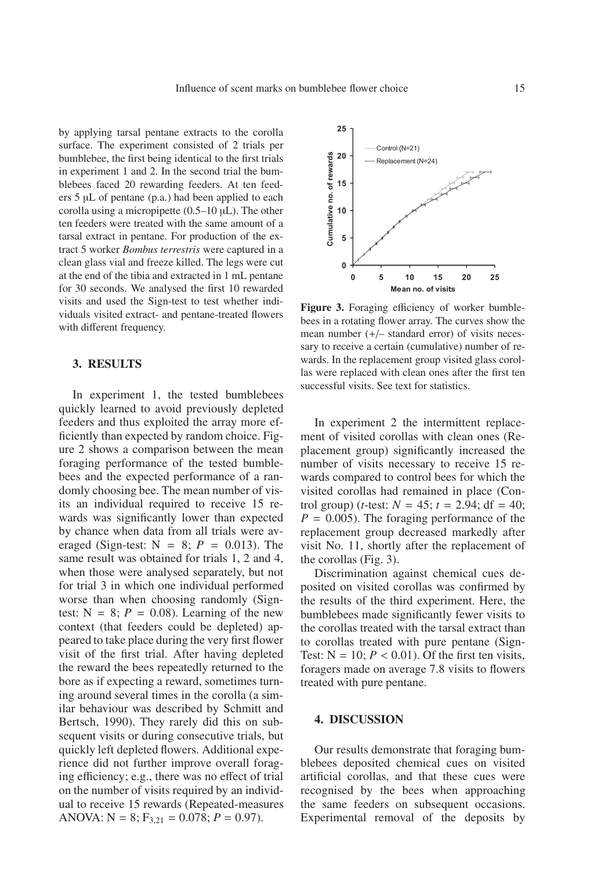by applying tarsal pentane extracts to the corolla surface. The experiment consisted of 2 trials per bumblebee, the first being identical to the first trials in experiment 1 and 2. In the second trial the bumblebees faced 20 rewarding feeders. At ten feeders 5 µL of pentane (p.a.) had been applied to each corolla using a micropipette  $(0.5-10 \mu L)$ . The other ten feeders were treated with the same amount of a tarsal extract in pentane. For production of the extract 5 worker *Bombus terrestris* were captured in a clean glass vial and freeze killed. The legs were cut at the end of the tibia and extracted in 1 mL pentane for 30 seconds. We analysed the first 10 rewarded visits and used the Sign-test to test whether individuals visited extract- and pentane-treated flowers with different frequency.

## **3. RESULTS**

In experiment 1, the tested bumblebees quickly learned to avoid previously depleted feeders and thus exploited the array more efficiently than expected by random choice. Figure 2 shows a comparison between the mean foraging performance of the tested bumblebees and the expected performance of a randomly choosing bee. The mean number of visits an individual required to receive 15 rewards was significantly lower than expected by chance when data from all trials were averaged (Sign-test:  $N = 8$ ;  $P = 0.013$ ). The same result was obtained for trials 1, 2 and 4, when those were analysed separately, but not for trial 3 in which one individual performed worse than when choosing randomly (Signtest:  $N = 8$ ;  $P = 0.08$ ). Learning of the new context (that feeders could be depleted) appeared to take place during the very first flower visit of the first trial. After having depleted the reward the bees repeatedly returned to the bore as if expecting a reward, sometimes turning around several times in the corolla (a similar behaviour was described by Schmitt and Bertsch, 1990). They rarely did this on subsequent visits or during consecutive trials, but quickly left depleted flowers. Additional experience did not further improve overall foraging efficiency; e.g., there was no effect of trial on the number of visits required by an individual to receive 15 rewards (Repeated-measures ANOVA:  $N = 8$ ;  $F_{3,21} = 0.078$ ;  $P = 0.97$ ).



**Figure 3.** Foraging efficiency of worker bumblebees in a rotating flower array. The curves show the mean number (+/– standard error) of visits necessary to receive a certain (cumulative) number of rewards. In the replacement group visited glass corollas were replaced with clean ones after the first ten successful visits. See text for statistics.

In experiment 2 the intermittent replacement of visited corollas with clean ones (Replacement group) significantly increased the number of visits necessary to receive 15 rewards compared to control bees for which the visited corollas had remained in place (Control group) (*t*-test:  $N = 45$ ;  $t = 2.94$ ; df = 40;  $P = 0.005$ ). The foraging performance of the replacement group decreased markedly after visit No. 11, shortly after the replacement of the corollas (Fig. 3).

Discrimination against chemical cues deposited on visited corollas was confirmed by the results of the third experiment. Here, the bumblebees made significantly fewer visits to the corollas treated with the tarsal extract than to corollas treated with pure pentane (Sign-Test:  $N = 10$ ;  $P < 0.01$ ). Of the first ten visits, foragers made on average 7.8 visits to flowers treated with pure pentane.

#### **4. DISCUSSION**

Our results demonstrate that foraging bumblebees deposited chemical cues on visited artificial corollas, and that these cues were recognised by the bees when approaching the same feeders on subsequent occasions. Experimental removal of the deposits by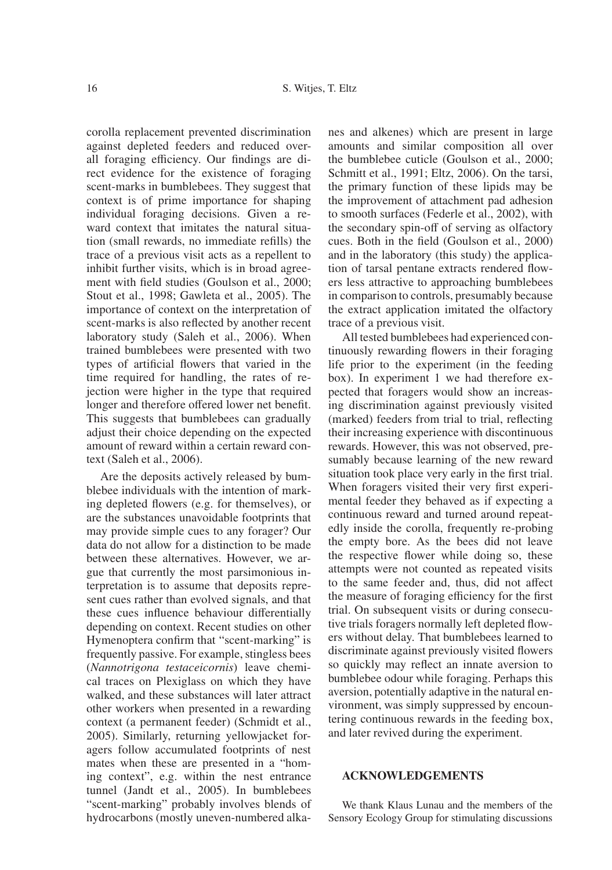corolla replacement prevented discrimination against depleted feeders and reduced overall foraging efficiency. Our findings are direct evidence for the existence of foraging scent-marks in bumblebees. They suggest that context is of prime importance for shaping individual foraging decisions. Given a reward context that imitates the natural situation (small rewards, no immediate refills) the trace of a previous visit acts as a repellent to inhibit further visits, which is in broad agreement with field studies (Goulson et al., 2000; Stout et al., 1998; Gawleta et al., 2005). The importance of context on the interpretation of scent-marks is also reflected by another recent laboratory study (Saleh et al., 2006). When trained bumblebees were presented with two types of artificial flowers that varied in the time required for handling, the rates of rejection were higher in the type that required longer and therefore offered lower net benefit. This suggests that bumblebees can gradually adjust their choice depending on the expected amount of reward within a certain reward context (Saleh et al., 2006).

Are the deposits actively released by bumblebee individuals with the intention of marking depleted flowers (e.g. for themselves), or are the substances unavoidable footprints that may provide simple cues to any forager? Our data do not allow for a distinction to be made between these alternatives. However, we argue that currently the most parsimonious interpretation is to assume that deposits represent cues rather than evolved signals, and that these cues influence behaviour differentially depending on context. Recent studies on other Hymenoptera confirm that "scent-marking" is frequently passive. For example, stingless bees (*Nannotrigona testaceicornis*) leave chemical traces on Plexiglass on which they have walked, and these substances will later attract other workers when presented in a rewarding context (a permanent feeder) (Schmidt et al., 2005). Similarly, returning yellowjacket foragers follow accumulated footprints of nest mates when these are presented in a "homing context", e.g. within the nest entrance tunnel (Jandt et al., 2005). In bumblebees "scent-marking" probably involves blends of hydrocarbons (mostly uneven-numbered alkanes and alkenes) which are present in large amounts and similar composition all over the bumblebee cuticle (Goulson et al., 2000; Schmitt et al., 1991; Eltz, 2006). On the tarsi, the primary function of these lipids may be the improvement of attachment pad adhesion to smooth surfaces (Federle et al., 2002), with the secondary spin-off of serving as olfactory cues. Both in the field (Goulson et al., 2000) and in the laboratory (this study) the application of tarsal pentane extracts rendered flowers less attractive to approaching bumblebees in comparison to controls, presumably because the extract application imitated the olfactory trace of a previous visit.

All tested bumblebees had experienced continuously rewarding flowers in their foraging life prior to the experiment (in the feeding box). In experiment 1 we had therefore expected that foragers would show an increasing discrimination against previously visited (marked) feeders from trial to trial, reflecting their increasing experience with discontinuous rewards. However, this was not observed, presumably because learning of the new reward situation took place very early in the first trial. When foragers visited their very first experimental feeder they behaved as if expecting a continuous reward and turned around repeatedly inside the corolla, frequently re-probing the empty bore. As the bees did not leave the respective flower while doing so, these attempts were not counted as repeated visits to the same feeder and, thus, did not affect the measure of foraging efficiency for the first trial. On subsequent visits or during consecutive trials foragers normally left depleted flowers without delay. That bumblebees learned to discriminate against previously visited flowers so quickly may reflect an innate aversion to bumblebee odour while foraging. Perhaps this aversion, potentially adaptive in the natural environment, was simply suppressed by encountering continuous rewards in the feeding box, and later revived during the experiment.

#### **ACKNOWLEDGEMENTS**

We thank Klaus Lunau and the members of the Sensory Ecology Group for stimulating discussions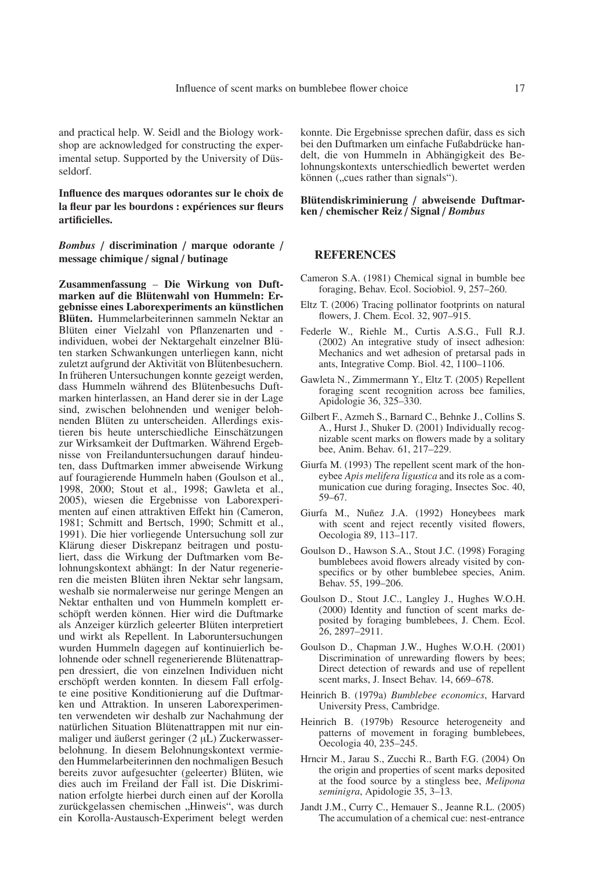and practical help. W. Seidl and the Biology workshop are acknowledged for constructing the experimental setup. Supported by the University of Düsseldorf.

**Influence des marques odorantes sur le choix de la fleur par les bourdons : expériences sur fleurs artificielles.**

*Bombus* / **discrimination** / **marque odorante** / **message chimique** / **signal** / **butinage**

**Zusammenfassung** – **Die Wirkung von Duftmarken auf die Blütenwahl von Hummeln: Ergebnisse eines Laborexperiments an künstlichen Blüten.** Hummelarbeiterinnen sammeln Nektar an Blüten einer Vielzahl von Pflanzenarten und individuen, wobei der Nektargehalt einzelner Blüten starken Schwankungen unterliegen kann, nicht zuletzt aufgrund der Aktivität von Blütenbesuchern. In früheren Untersuchungen konnte gezeigt werden, dass Hummeln während des Blütenbesuchs Duftmarken hinterlassen, an Hand derer sie in der Lage sind, zwischen belohnenden und weniger belohnenden Blüten zu unterscheiden. Allerdings existieren bis heute unterschiedliche Einschätzungen zur Wirksamkeit der Duftmarken. Während Ergebnisse von Freilanduntersuchungen darauf hindeuten, dass Duftmarken immer abweisende Wirkung auf fouragierende Hummeln haben (Goulson et al., 1998, 2000; Stout et al., 1998; Gawleta et al., 2005), wiesen die Ergebnisse von Laborexperimenten auf einen attraktiven Effekt hin (Cameron, 1981; Schmitt and Bertsch, 1990; Schmitt et al., 1991). Die hier vorliegende Untersuchung soll zur Klärung dieser Diskrepanz beitragen und postuliert, dass die Wirkung der Duftmarken vom Belohnungskontext abhängt: In der Natur regenerieren die meisten Blüten ihren Nektar sehr langsam, weshalb sie normalerweise nur geringe Mengen an Nektar enthalten und von Hummeln komplett erschöpft werden können. Hier wird die Duftmarke als Anzeiger kürzlich geleerter Blüten interpretiert und wirkt als Repellent. In Laboruntersuchungen wurden Hummeln dagegen auf kontinuierlich belohnende oder schnell regenerierende Blütenattrappen dressiert, die von einzelnen Individuen nicht erschöpft werden konnten. In diesem Fall erfolgte eine positive Konditionierung auf die Duftmarken und Attraktion. In unseren Laborexperimenten verwendeten wir deshalb zur Nachahmung der natürlichen Situation Blütenattrappen mit nur einmaliger und äußerst geringer (2 µL) Zuckerwasserbelohnung. In diesem Belohnungskontext vermieden Hummelarbeiterinnen den nochmaligen Besuch bereits zuvor aufgesuchter (geleerter) Blüten, wie dies auch im Freiland der Fall ist. Die Diskrimination erfolgte hierbei durch einen auf der Korolla zurückgelassen chemischen "Hinweis", was durch ein Korolla-Austausch-Experiment belegt werden konnte. Die Ergebnisse sprechen dafür, dass es sich bei den Duftmarken um einfache Fußabdrücke handelt, die von Hummeln in Abhängigkeit des Belohnungskontexts unterschiedlich bewertet werden können ("cues rather than signals").

**Blütendiskriminierung** / **abweisende Duftmarken** / **chemischer Reiz** / **Signal** / *Bombus*

#### **REFERENCES**

- Cameron S.A. (1981) Chemical signal in bumble bee foraging, Behav. Ecol. Sociobiol. 9, 257–260.
- Eltz T. (2006) Tracing pollinator footprints on natural flowers, J. Chem. Ecol. 32, 907–915.
- Federle W., Riehle M., Curtis A.S.G., Full R.J. (2002) An integrative study of insect adhesion: Mechanics and wet adhesion of pretarsal pads in ants, Integrative Comp. Biol. 42, 1100–1106.
- Gawleta N., Zimmermann Y., Eltz T. (2005) Repellent foraging scent recognition across bee families, Apidologie 36, 325–330.
- Gilbert F., Azmeh S., Barnard C., Behnke J., Collins S. A., Hurst J., Shuker D. (2001) Individually recognizable scent marks on flowers made by a solitary bee, Anim. Behav. 61, 217–229.
- Giurfa M. (1993) The repellent scent mark of the honeybee *Apis melifera ligustica* and its role as a communication cue during foraging, Insectes Soc. 40, 59–67.
- Giurfa M., Nuñez J.A. (1992) Honeybees mark with scent and reject recently visited flowers, Oecologia 89, 113–117.
- Goulson D., Hawson S.A., Stout J.C. (1998) Foraging bumblebees avoid flowers already visited by conspecifics or by other bumblebee species, Anim. Behav. 55, 199–206.
- Goulson D., Stout J.C., Langley J., Hughes W.O.H. (2000) Identity and function of scent marks deposited by foraging bumblebees, J. Chem. Ecol. 26, 2897–2911.
- Goulson D., Chapman J.W., Hughes W.O.H. (2001) Discrimination of unrewarding flowers by bees; Direct detection of rewards and use of repellent scent marks, J. Insect Behav. 14, 669–678.
- Heinrich B. (1979a) *Bumblebee economics*, Harvard University Press, Cambridge.
- Heinrich B. (1979b) Resource heterogeneity and patterns of movement in foraging bumblebees, Oecologia 40, 235–245.
- Hrncir M., Jarau S., Zucchi R., Barth F.G. (2004) On the origin and properties of scent marks deposited at the food source by a stingless bee, *Melipona seminigra*, Apidologie 35, 3–13.
- Jandt J.M., Curry C., Hemauer S., Jeanne R.L. (2005) The accumulation of a chemical cue: nest-entrance